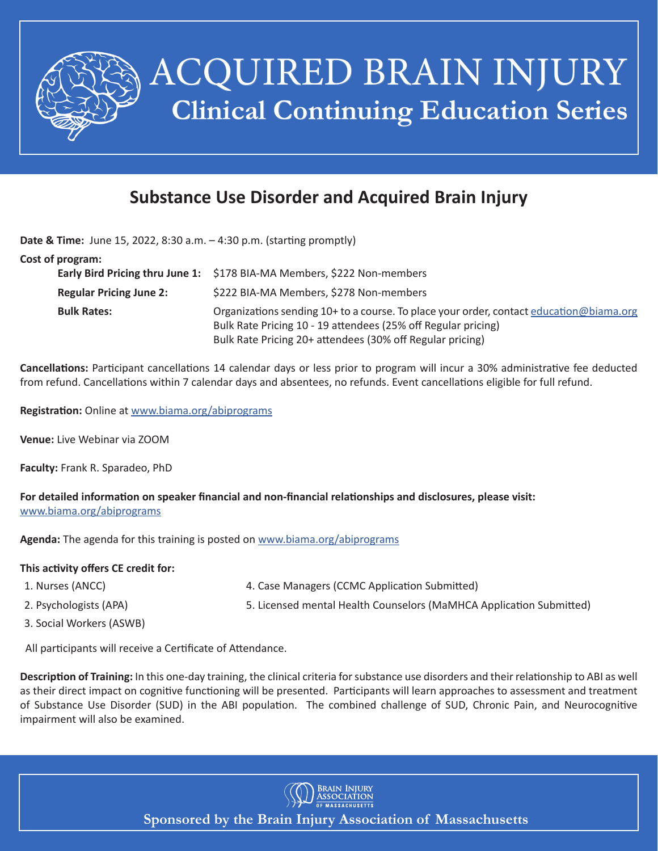

## **Substance Use Disorder and Acquired Brain Injury**

**Date & Time:** June 15, 2022, 8:30 a.m. – 4:30 p.m. (starting promptly)

|                                | Early Bird Pricing thru June 1: \$178 BIA-MA Members, \$222 Non-members                                                                                                                                               |
|--------------------------------|-----------------------------------------------------------------------------------------------------------------------------------------------------------------------------------------------------------------------|
| <b>Regular Pricing June 2:</b> | \$222 BIA-MA Members, \$278 Non-members                                                                                                                                                                               |
| <b>Bulk Rates:</b>             | Organizations sending 10+ to a course. To place your order, contact education@biama.org<br>Bulk Rate Pricing 10 - 19 attendees (25% off Regular pricing)<br>Bulk Rate Pricing 20+ attendees (30% off Regular pricing) |

**Cancellations:** Participant cancellations 14 calendar days or less prior to program will incur a 30% administrative fee deducted from refund. Cancellations within 7 calendar days and absentees, no refunds. Event cancellations eligible for full refund.

**Registration:** Online at www.biama.org/abiprograms

**Venue:** Live Webinar via ZOOM

**Faculty:** Frank R. Sparadeo, PhD

**For detailed information on speaker financial and non-financial relationships and disclosures, please visit:** www.biama.org/abiprograms

**Agenda:** The agenda for this training is posted on www.biama.org/abiprograms

## **This activity offers CE credit for:**

- 1. Nurses (ANCC) 4. Case Managers (CCMC Application Submitted)
- 
- 2. Psychologists (APA) 5. Licensed mental Health Counselors (MaMHCA Application Submitted)
- 3. Social Workers (ASWB)

All participants will receive a Certificate of Attendance.

**Description of Training:** In this one-day training, the clinical criteria for substance use disorders and their relationship to ABI as well as their direct impact on cognitive functioning will be presented. Participants will learn approaches to assessment and treatment of Substance Use Disorder (SUD) in the ABI population. The combined challenge of SUD, Chronic Pain, and Neurocognitive impairment will also be examined.



**Sponsored by the Brain Injury Association of Massachusetts**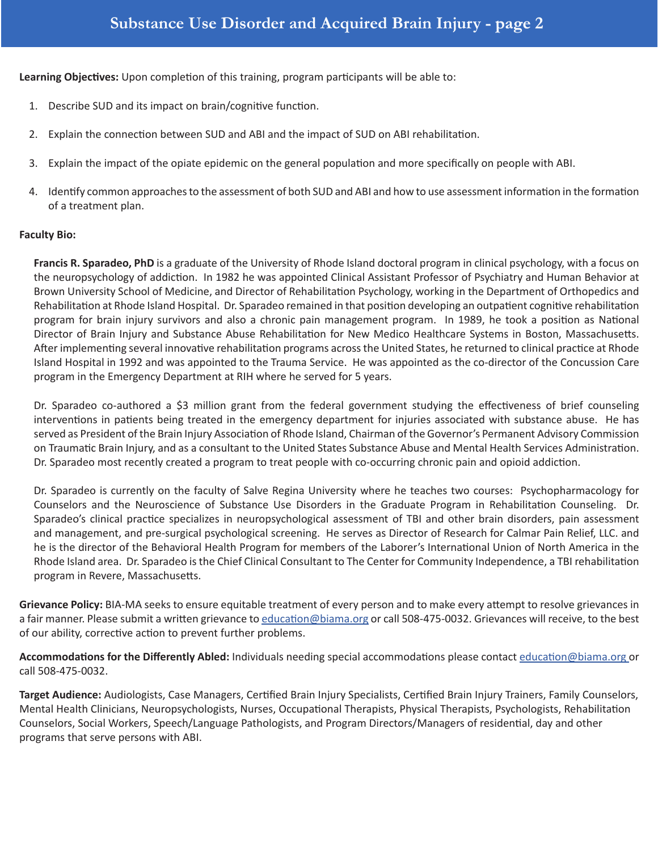**Learning Objectives:** Upon completion of this training, program participants will be able to:

- 1. Describe SUD and its impact on brain/cognitive function.
- 2. Explain the connection between SUD and ABI and the impact of SUD on ABI rehabilitation.
- 3. Explain the impact of the opiate epidemic on the general population and more specifically on people with ABI.
- 4. Identify common approaches to the assessment of both SUD and ABI and how to use assessment information in the formation of a treatment plan.

## **Faculty Bio:**

**Francis R. Sparadeo, PhD** is a graduate of the University of Rhode Island doctoral program in clinical psychology, with a focus on the neuropsychology of addiction. In 1982 he was appointed Clinical Assistant Professor of Psychiatry and Human Behavior at Brown University School of Medicine, and Director of Rehabilitation Psychology, working in the Department of Orthopedics and Rehabilitation at Rhode Island Hospital. Dr. Sparadeo remained in that position developing an outpatient cognitive rehabilitation program for brain injury survivors and also a chronic pain management program. In 1989, he took a position as National Director of Brain Injury and Substance Abuse Rehabilitation for New Medico Healthcare Systems in Boston, Massachusetts. After implementing several innovative rehabilitation programs across the United States, he returned to clinical practice at Rhode Island Hospital in 1992 and was appointed to the Trauma Service. He was appointed as the co-director of the Concussion Care program in the Emergency Department at RIH where he served for 5 years.

Dr. Sparadeo co-authored a \$3 million grant from the federal government studying the effectiveness of brief counseling interventions in patients being treated in the emergency department for injuries associated with substance abuse. He has served as President of the Brain Injury Association of Rhode Island, Chairman of the Governor's Permanent Advisory Commission on Traumatic Brain Injury, and as a consultant to the United States Substance Abuse and Mental Health Services Administration. Dr. Sparadeo most recently created a program to treat people with co-occurring chronic pain and opioid addiction.

Dr. Sparadeo is currently on the faculty of Salve Regina University where he teaches two courses: Psychopharmacology for Counselors and the Neuroscience of Substance Use Disorders in the Graduate Program in Rehabilitation Counseling. Dr. Sparadeo's clinical practice specializes in neuropsychological assessment of TBI and other brain disorders, pain assessment and management, and pre-surgical psychological screening. He serves as Director of Research for Calmar Pain Relief, LLC. and he is the director of the Behavioral Health Program for members of the Laborer's International Union of North America in the Rhode Island area. Dr. Sparadeo is the Chief Clinical Consultant to The Center for Community Independence, a TBI rehabilitation program in Revere, Massachusetts.

**Grievance Policy:** BIA-MA seeks to ensure equitable treatment of every person and to make every attempt to resolve grievances in a fair manner. Please submit a written grievance to education@biama.org or call 508-475-0032. Grievances will receive, to the best of our ability, corrective action to prevent further problems.

**Accommodations for the Differently Abled:** Individuals needing special accommodations please contact education@biama.org or call 508-475-0032.

**Target Audience:** Audiologists, Case Managers, Certified Brain Injury Specialists, Certified Brain Injury Trainers, Family Counselors, Mental Health Clinicians, Neuropsychologists, Nurses, Occupational Therapists, Physical Therapists, Psychologists, Rehabilitation Counselors, Social Workers, Speech/Language Pathologists, and Program Directors/Managers of residential, day and other programs that serve persons with ABI.